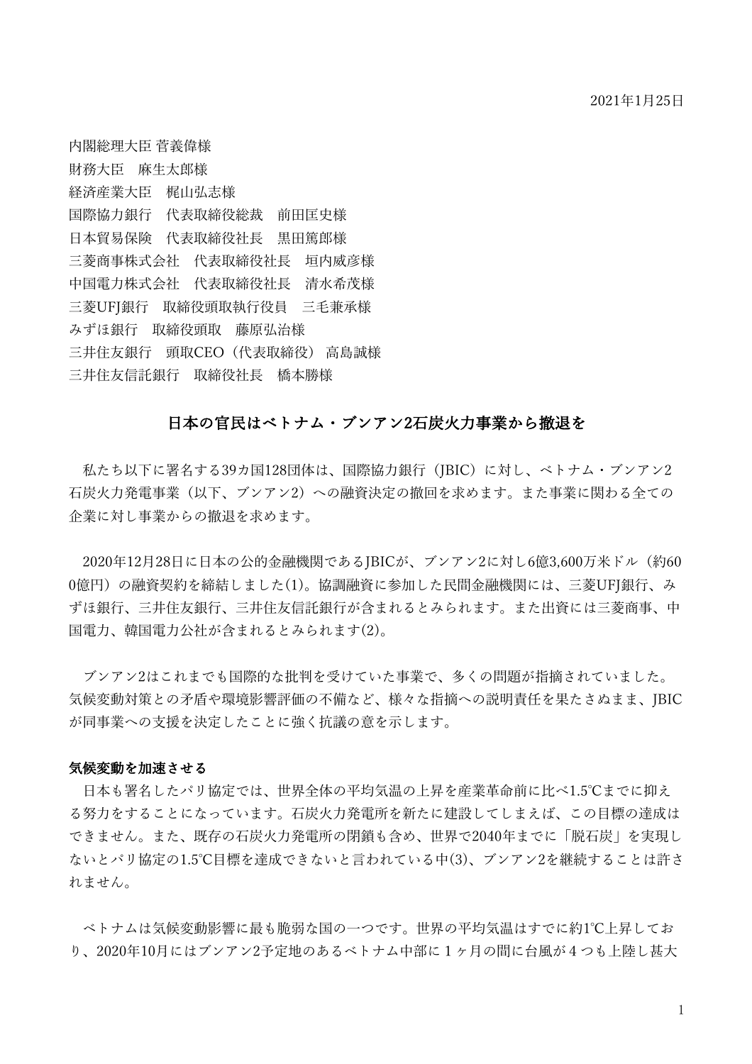内閣総理⼤⾂ 菅義偉様 財務⼤⾂ ⿇⽣太郎様 経済産業大臣 梶山弘志様 国際協力銀行 代表取締役総裁 前田匡史様 日本貿易保険 代表取締役社長 黒田篤郎様 三菱商事株式会社 代表取締役社長 垣内威彦様 中国電力株式会社 代表取締役社長 清水希茂様 三菱UFI銀行 取締役頭取執行役員 三毛兼承様 みずほ銀行 取締役頭取 藤原弘治様 三井住友銀行 頭取CEO (代表取締役) 高島誠様 三井住友信託銀行 取締役社長 橋本勝様

#### 日本の官民はベトナム・ブンアン2石炭火力事業から撤退を

私たち以下に署名する39カ国128団体は、国際協力銀行 (JBIC) に対し、ベトナム・ブンアン2 石炭火力発電事業(以下、ブンアン2)への融資決定の撤回を求めます。また事業に関わる全ての 企業に対し事業からの撤退を求めます。

2020年12月28日に日本の公的金融機関であるJBICが、ブンアン2に対し6億3,600万米ドル(約60 0億円)の融資契約を締結しました(1)。協調融資に参加した民間金融機関には、三菱UFJ銀行、み ずほ銀⾏、三井住友銀⾏、三井住友信託銀⾏が含まれるとみられます。また出資には三菱商事、中 国雷力、韓国雷力公社が含まれるとみられます(2)。

ブンアン2はこれまでも国際的な批判を受けていた事業で、多くの問題が指摘されていました。 気候変動対策との⽭盾や環境影響評価の不備など、様々な指摘への説明責任を果たさぬまま、JBIC が同事業への⽀援を決定したことに強く抗議の意を⽰します。

#### 気候変動を加速させる

日本も署名したパリ協定では、世界全体の平均気温の上昇を産業革命前に比べ1.5℃までに抑え る努力をすることになっています。石炭火力発電所を新たに建設してしまえば、この目標の達成は できません。また、既存の石炭火力発電所の閉鎖も含め、世界で2040年までに「脱石炭」を実現し ないとパリ協定の1.5℃⽬標を達成できないと⾔われている中(3)、ブンアン2を継続することは許さ れません。

ベトナムは気候変動影響に最も脆弱な国の⼀つです。世界の平均気温はすでに約1℃上昇してお り、2020年10月にはブンアン2予定地のあるベトナム中部に1ヶ月の間に台風が4つも上陸し甚大

1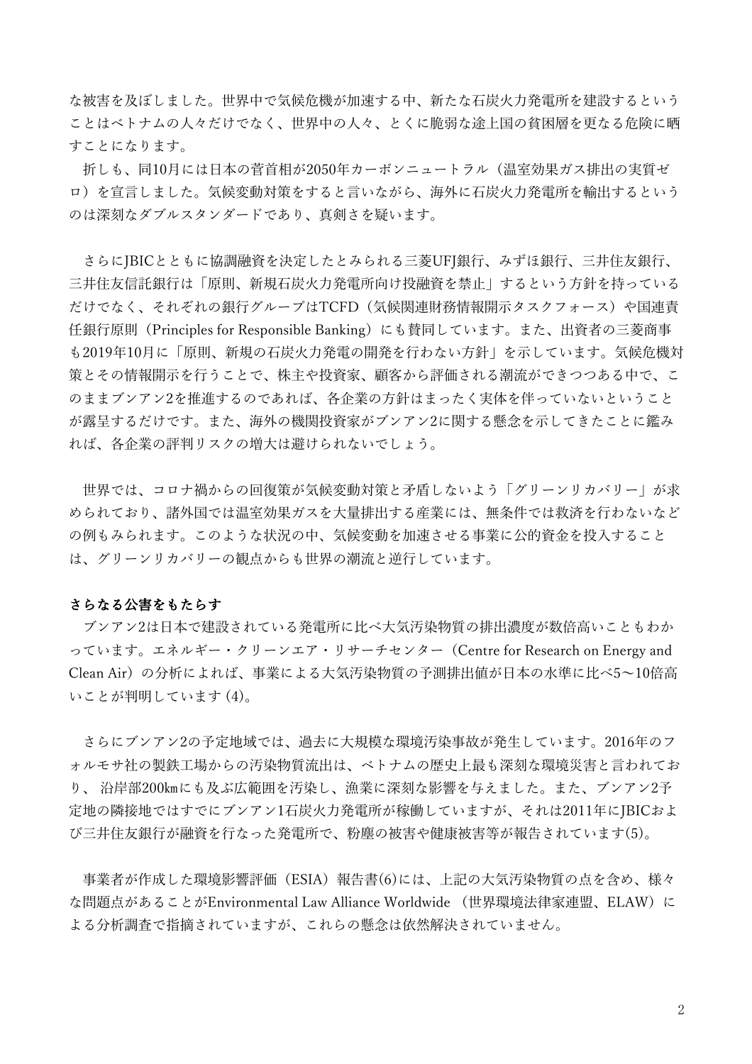な被害を及ぼしました。世界中で気候危機が加速する中、新たな石炭火力発電所を建設するという ことはベトナムの⼈々だけでなく、世界中の⼈々、とくに脆弱な途上国の貧困層を更なる危険に晒 すことになります。

折しも、同10月には日本の菅首相が2050年カーボンニュートラル(温室効果ガス排出の実質ゼ ロ)を宣言しました。気候変動対策をすると言いながら、海外に石炭火力発電所を輸出するという のは深刻なダブルスタンダードであり、真剣さを疑います。

さらにJBICとともに協調融資を決定したとみられる三菱UFJ銀⾏、みずほ銀⾏、三井住友銀⾏、 三井住友信託銀行は「原則、新規石炭火力発電所向け投融資を禁止」するという方針を持っている だけでなく、それぞれの銀行グループはTCFD (気候関連財務情報開示タスクフォース)や国連責 任銀行原則 (Principles for Responsible Banking) にも賛同しています。また、出資者の三菱商事 も2019年10月に「原則、新規の石炭火力発電の開発を行わない方針」を示しています。気候危機対 策とその情報開示を行うことで、株主や投資家、顧客から評価される潮流ができつつある中で、こ のままブンアン2を推進するのであれば、各企業の方針はまったく実体を伴っていないということ が露呈するだけです。また、海外の機関投資家がブンアン2に関する懸念を示してきたことに鑑み れば、各企業の評判リスクの増⼤は避けられないでしょう。

世界では、コロナ禍からの回復策が気候変動対策と⽭盾しないよう「グリーンリカバリー」が求 められており、諸外国では温室効果ガスを大量排出する産業には、無条件では救済を行わないなど の例もみられます。このような状況の中、気候変動を加速させる事業に公的資金を投入すること は、グリーンリカバリーの観点からも世界の潮流と逆⾏しています。

#### さらなる公害をもたらす

ブンアン2は日本で建設されている発電所に比べ大気汚染物質の排出濃度が数倍高いこともわか っています。エネルギー・クリーンエア・リサーチセンター(Centre for Research on Energy and Clean Air)の分析によれば、事業による大気汚染物質の予測排出値が日本の水準に比べ5~10倍高 いことが判明しています (4)。

さらにブンアン2の予定地域では、過去に⼤規模な環境汚染事故が発⽣しています。2016年のフ ォルモサ社の製鉄⼯場からの汚染物質流出は、ベトナムの歴史上最も深刻な環境災害と⾔われてお り、 沿岸部200㎞にも及ぶ広範囲を汚染し、漁業に深刻な影響を与えました。また、ブンアン2予 定地の隣接地ではすでにブンアン1石炭火力発電所が稼働していますが、それは2011年にJBICおよ び三井住友銀⾏が融資を⾏なった発電所で、粉塵の被害や健康被害等が報告されています(5)。

事業者が作成した環境影響評価(ESIA)報告書(6)には、上記の⼤気汚染物質の点を含め、様々 な問題点があることがEnvironmental Law Alliance Worldwide (世界環境法律家連盟、ELAW)に よる分析調査で指摘されていますが、これらの懸念は依然解決されていません。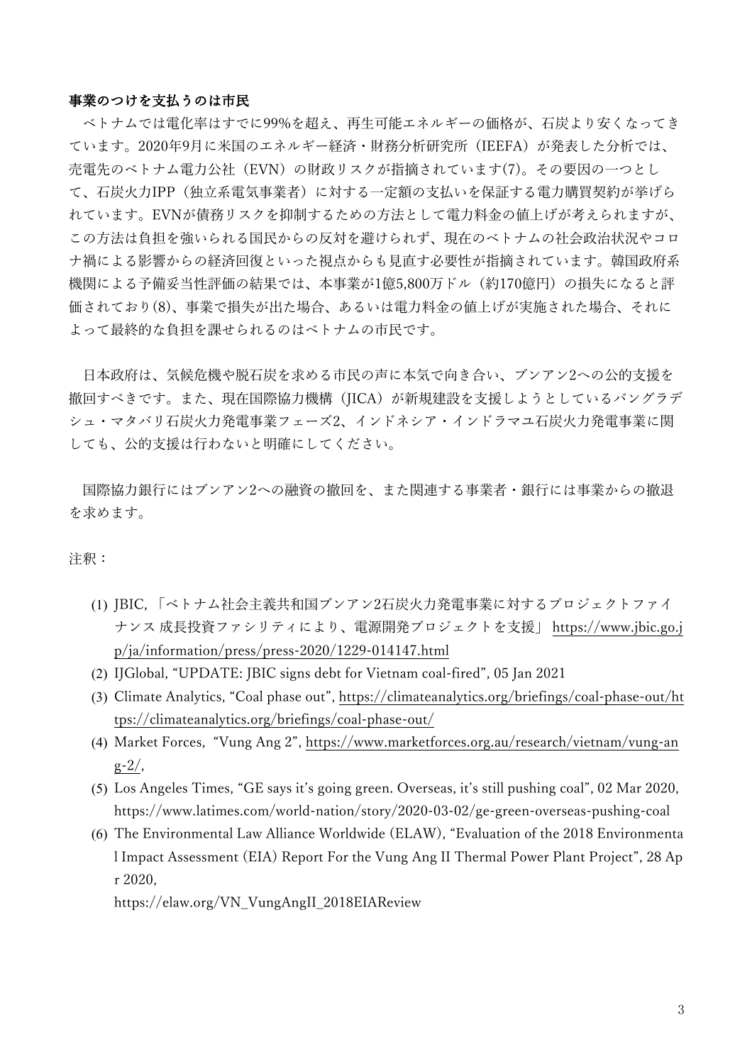#### 事業のつけを支払うのは市民

ベトナムでは電化率はすでに99%を超え、再生可能エネルギーの価格が、石炭より安くなってき ています。2020年9月に米国のエネルギー経済·財務分析研究所 (IEEFA) が発表した分析では、 売電先のベトナム電力公社 (EVN) の財政リスクが指摘されています(7)。その要因の一つとし て、石炭火力IPP(独立系電気事業者)に対する一定額の支払いを保証する電力購買契約が挙げら れています。EVNが債務リスクを抑制するための⽅法として電⼒料⾦の値上げが考えられますが、 この方法は負担を強いられる国民からの反対を避けられず、現在のベトナムの社会政治状況やコロ ナ禍による影響からの経済回復といった視点からも見直す必要性が指摘されています。韓国政府系 機関による予備妥当性評価の結果では、本事業が1億5,800万ドル(約170億円)の損失になると評 価されており(8)、事業で損失が出た場合、あるいは電力料金の値上げが実施された場合、それに よって最終的な負担を課せられるのはベトナムの市⺠です。

日本政府は、気候危機や脱石炭を求める市民の声に本気で向き合い、ブンアン2への公的支援を 撤回すべきです。また、現在国際協⼒機構(JICA)が新規建設を⽀援しようとしているバングラデ シュ・マタバリ石炭火力発電事業フェーズ2、インドネシア・インドラマユ石炭火力発電事業に関 しても、公的⽀援は⾏わないと明確にしてください。

国際協力銀行にはブンアン2への融資の撤回を、また関連する事業者・銀行には事業からの撤退 を求めます。

#### 注釈:

- (1) JBIC, 「ベトナム社会主義共和国ブンアン2石炭火力発電事業に対するプロジェクトファイ ナンス 成長投資ファシリティにより、電源開発プロジェクトを支援」 https://www.jbic.go.j p/ja/information/press/press-2020/1229-014147.html
- (2) IJGlobal, "UPDATE: JBIC signs debt for Vietnam coal-fired", 05 Jan 2021
- (3) Climate Analytics, "Coal phase out", https://climateanalytics.org/briefings/coal-phase-out/ht tps://climateanalytics.org/briefings/coal-phase-out/
- (4) Market Forces, "Vung Ang 2", https://www.marketforces.org.au/research/vietnam/vung-an  $g - 2/$ ,
- (5) Los Angeles Times, "GE says it's going green. Overseas, it's still pushing coal", 02 Mar 2020, https://www.latimes.com/world-nation/story/2020-03-02/ge-green-overseas-pushing-coal
- (6) The Environmental Law Alliance Worldwide (ELAW), "Evaluation of the 2018 Environmenta l Impact Assessment (EIA) Report For the Vung Ang II Thermal Power Plant Project", 28 Ap r 2020,

https://elaw.org/VN\_VungAngII\_2018EIAReview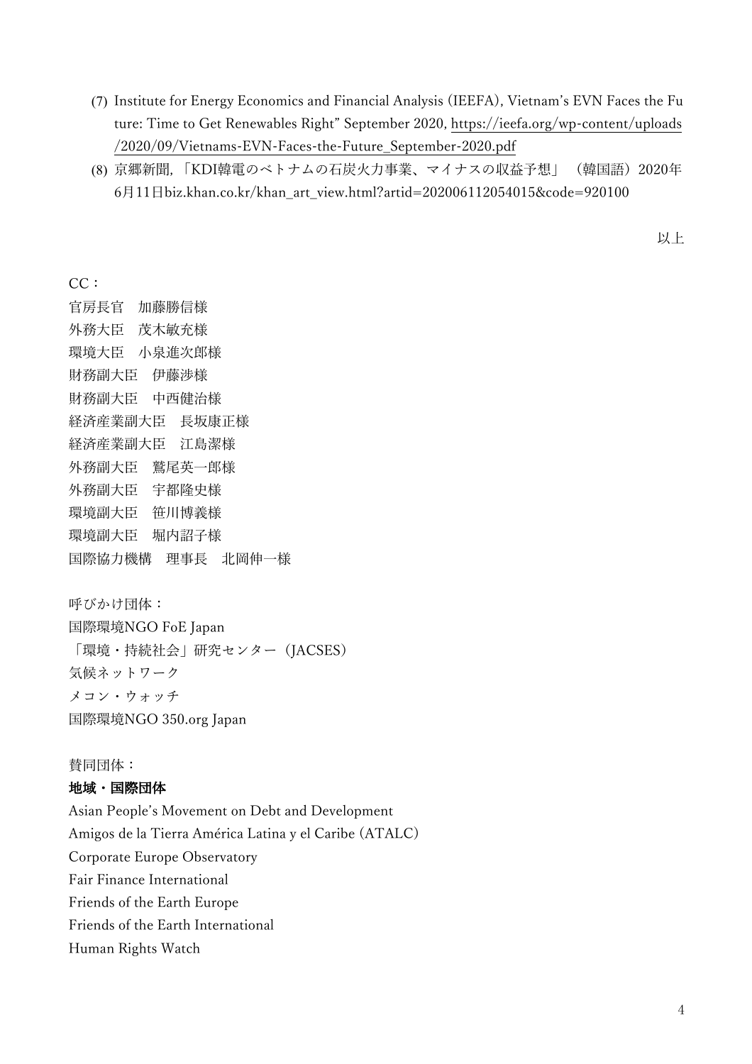- (7) Institute for Energy Economics and Financial Analysis (IEEFA), Vietnam's EVN Faces the Fu ture: Time to Get Renewables Right" September 2020, https://ieefa.org/wp-content/uploads /2020/09/Vietnams-EVN-Faces-the-Future\_September-2020.pdf
- (8) 京郷新聞, 「KDI韓電のベトナムの⽯炭⽕⼒事業、マイナスの収益予想」 (韓国語)2020年 6月11日biz.khan.co.kr/khan\_art\_view.html?artid=202006112054015&code=920100

以上

CC:

官房⻑官 加藤勝信様 外務大臣 茂木敏充様 環境大臣 小泉進次郎様 財務副⼤⾂ 伊藤渉様 財務副⼤⾂ 中⻄健治様 経済産業副大臣 長坂康正様 経済産業副⼤⾂ 江島潔様 外務副大臣 鷲尾英一郎様 外務副⼤⾂ 宇都隆史様 環境副⼤⾂ 笹川博義様 環境副大臣 堀内詔子様 国際協力機構 理事長 北岡伸一様

呼びかけ団体: 国際環境NGO FoE Japan 「環境・持続社会」研究センター (JACSES) 気候ネットワーク メコン・ウォッチ 国際環境NGO 350.org Japan

#### 賛同団体:

#### 地域・国際団体

Asian People's Movement on Debt and Development Amigos de la Tierra América Latina y el Caribe (ATALC) Corporate Europe Observatory Fair Finance International Friends of the Earth Europe Friends of the Earth International Human Rights Watch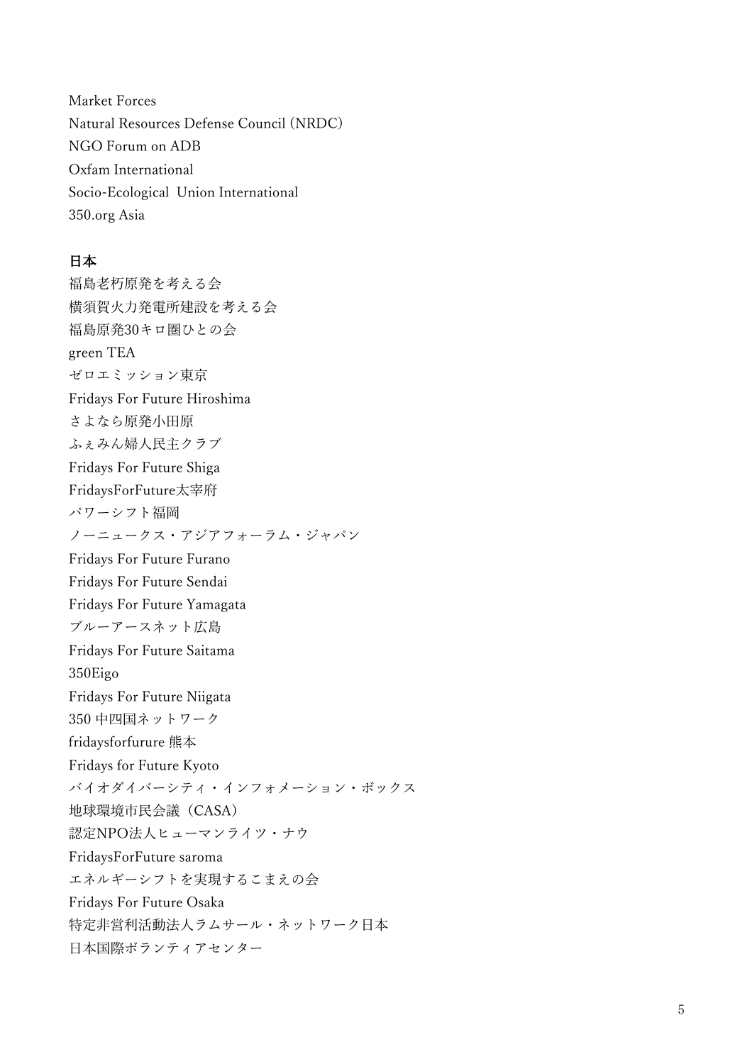Market Forces Natural Resources Defense Council (NRDC) NGO Forum on ADB Oxfam International Socio-Ecological Union International 350.org Asia

#### 日本

福島老朽原発を考える会 横須賀⽕⼒発電所建設を考える会 福島原発30キロ圏ひとの会 green TEA ゼロエミッション東京 Fridays For Future Hiroshima さよなら原発小田原 ふぇみん婦⼈⺠主クラブ Fridays For Future Shiga FridaysForFuture太宰府 パワーシフト福岡 ノーニュークス・アジアフォーラム・ジャパン Fridays For Future Furano Fridays For Future Sendai Fridays For Future Yamagata ブルーアースネット広島 Fridays For Future Saitama 350Eigo Fridays For Future Niigata 350 中四国ネットワーク fridaysforfurure 熊本 Fridays for Future Kyoto バイオダイバーシティ・インフォメーション・ボックス 地球環境市⺠会議(CASA) 認定NPO法⼈ヒューマンライツ・ナウ FridaysForFuture saroma エネルギーシフトを実現するこまえの会 Fridays For Future Osaka 特定非営利活動法人ラムサール・ネットワーク日本 日本国際ボランティアセンター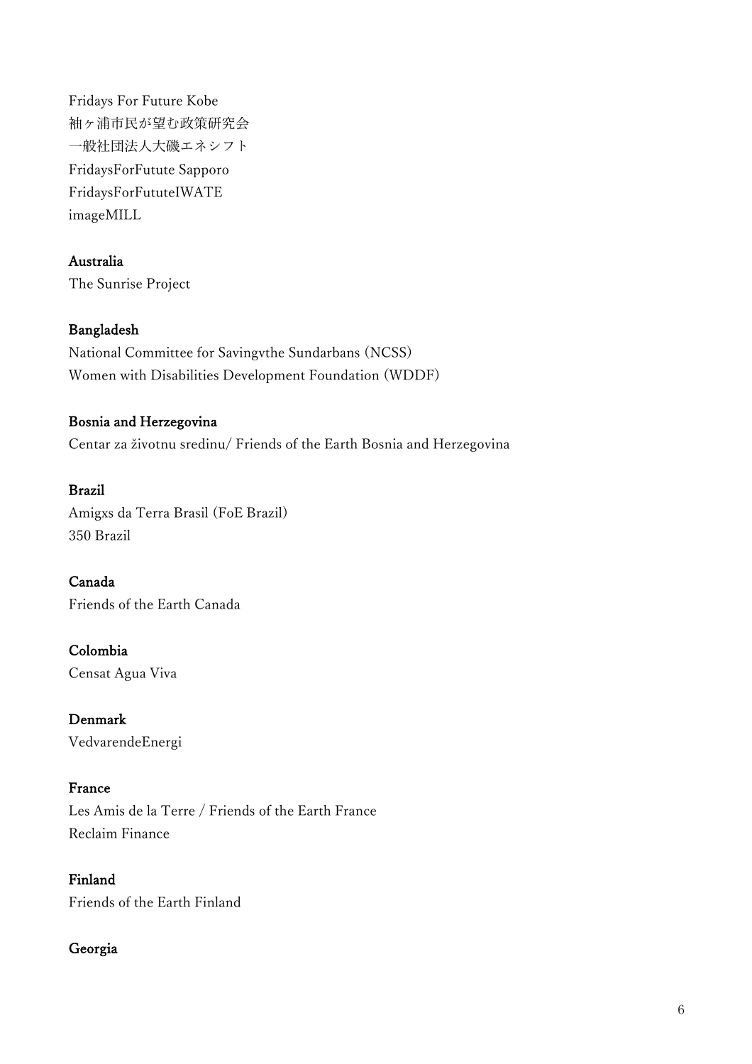Fridays For Future Kobe 袖ヶ浦市⺠が望む政策研究会 一般社団法人大磯エネシフト FridaysForFutute Sapporo FridaysForFututeIWATE imageMILL

## Australia

The Sunrise Project

#### Bangladesh

National Committee for Savingvthe Sundarbans (NCSS) Women with Disabilities Development Foundation (WDDF)

## Bosnia and Herzegovina

Centar za životnu sredinu/ Friends of the Earth Bosnia and Herzegovina

#### Brazil

Amigxs da Terra Brasil (FoE Brazil) 350 Brazil

Canada Friends of the Earth Canada

Colombia Censat Agua Viva

Denmark VedvarendeEnergi

#### France

Les Amis de la Terre / Friends of the Earth France Reclaim Finance

Finland Friends of the Earth Finland

#### Georgia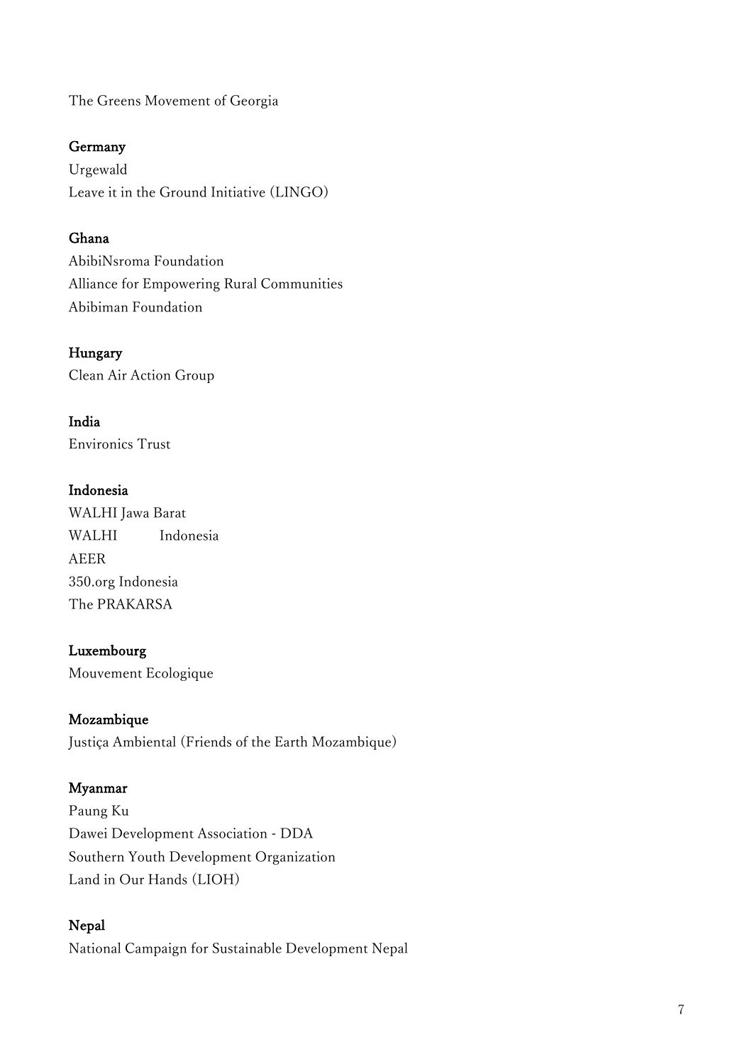The Greens Movement of Georgia

## Germany

Urgewald Leave it in the Ground Initiative (LINGO)

## Ghana

AbibiNsroma Foundation Alliance for Empowering Rural Communities Abibiman Foundation

Hungary Clean Air Action Group

India Environics Trust

## Indonesia

WALHI Jawa Barat WALHI Indonesia AEER 350.org Indonesia The PRAKARSA

## Luxembourg

Mouvement Ecologique

## Mozambique

Justiça Ambiental (Friends of the Earth Mozambique)

## Myanmar

Paung Ku Dawei Development Association - DDA Southern Youth Development Organization Land in Our Hands (LIOH)

## Nepal

National Campaign for Sustainable Development Nepal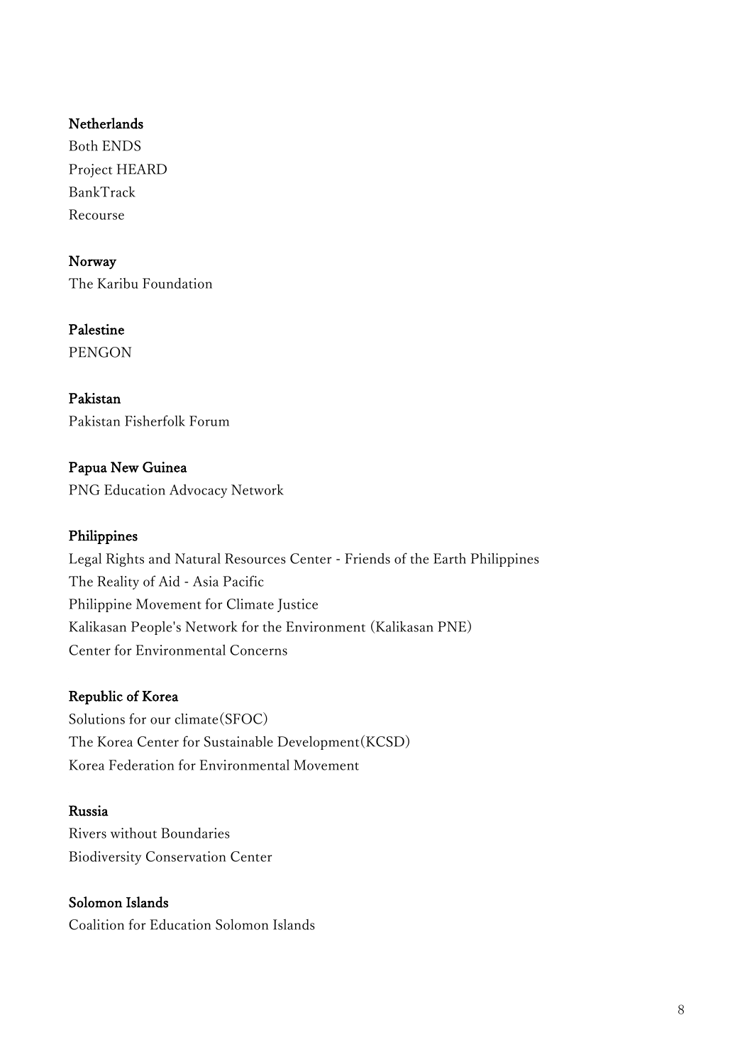## Netherlands

Both ENDS Project HEARD BankTrack Recourse

Norway The Karibu Foundation

Palestine PENGON

Pakistan Pakistan Fisherfolk Forum

Papua New Guinea PNG Education Advocacy Network

# Philippines

Legal Rights and Natural Resources Center - Friends of the Earth Philippines The Reality of Aid - Asia Pacific Philippine Movement for Climate Justice Kalikasan People's Network for the Environment (Kalikasan PNE) Center for Environmental Concerns

# Republic of Korea

Solutions for our climate(SFOC) The Korea Center for Sustainable Development(KCSD) Korea Federation for Environmental Movement

# Russia

Rivers without Boundaries Biodiversity Conservation Center

Solomon Islands Coalition for Education Solomon Islands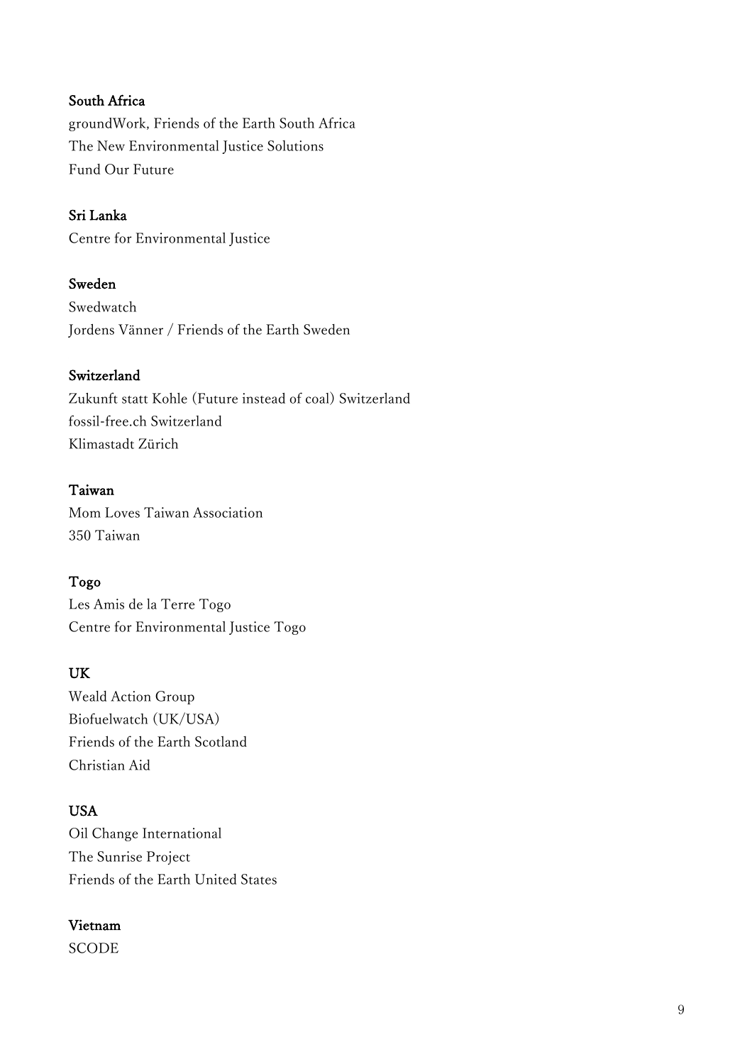# South Africa

groundWork, Friends of the Earth South Africa The New Environmental Justice Solutions Fund Our Future

## Sri Lanka

Centre for Environmental Justice

## Sweden

Swedwatch Jordens Vänner / Friends of the Earth Sweden

## Switzerland

Zukunft statt Kohle (Future instead of coal) Switzerland fossil-free.ch Switzerland Klimastadt Zürich

## Taiwan

Mom Loves Taiwan Association 350 Taiwan

## Togo

Les Amis de la Terre Togo Centre for Environmental Justice Togo

## UK

Weald Action Group Biofuelwatch (UK/USA) Friends of the Earth Scotland Christian Aid

# USA

Oil Change International The Sunrise Project Friends of the Earth United States

# Vietnam

**SCODE**